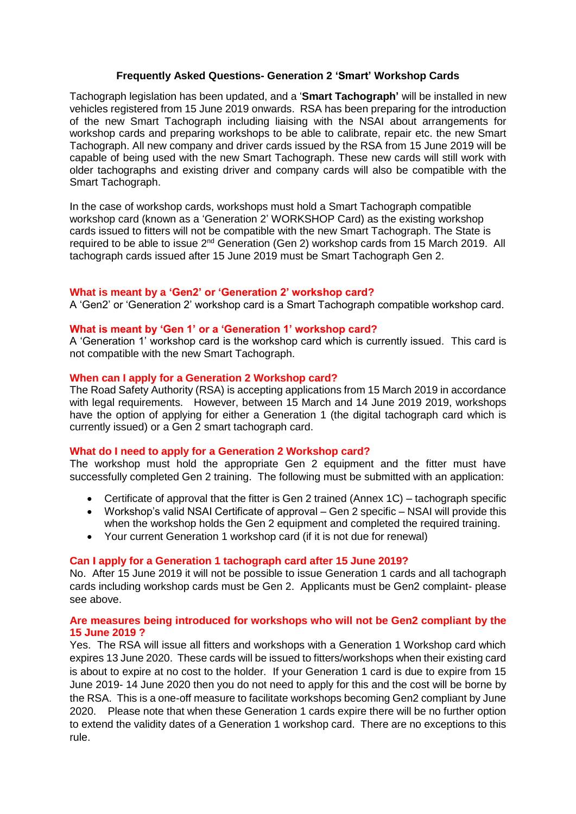# **Frequently Asked Questions- Generation 2 'Smart' Workshop Cards**

Tachograph legislation has been updated, and a '**Smart Tachograph'** will be installed in new vehicles registered from 15 June 2019 onwards. RSA has been preparing for the introduction of the new Smart Tachograph including liaising with the NSAI about arrangements for workshop cards and preparing workshops to be able to calibrate, repair etc. the new Smart Tachograph. All new company and driver cards issued by the RSA from 15 June 2019 will be capable of being used with the new Smart Tachograph. These new cards will still work with older tachographs and existing driver and company cards will also be compatible with the Smart Tachograph.

In the case of workshop cards, workshops must hold a Smart Tachograph compatible workshop card (known as a 'Generation 2' WORKSHOP Card) as the existing workshop cards issued to fitters will not be compatible with the new Smart Tachograph. The State is required to be able to issue 2nd Generation (Gen 2) workshop cards from 15 March 2019. All tachograph cards issued after 15 June 2019 must be Smart Tachograph Gen 2.

# **What is meant by a 'Gen2' or 'Generation 2' workshop card?**

A 'Gen2' or 'Generation 2' workshop card is a Smart Tachograph compatible workshop card.

## **What is meant by 'Gen 1' or a 'Generation 1' workshop card?**

A 'Generation 1' workshop card is the workshop card which is currently issued. This card is not compatible with the new Smart Tachograph.

## **When can I apply for a Generation 2 Workshop card?**

The Road Safety Authority (RSA) is accepting applications from 15 March 2019 in accordance with legal requirements. However, between 15 March and 14 June 2019 2019, workshops have the option of applying for either a Generation 1 (the digital tachograph card which is currently issued) or a Gen 2 smart tachograph card.

# **What do I need to apply for a Generation 2 Workshop card?**

The workshop must hold the appropriate Gen 2 equipment and the fitter must have successfully completed Gen 2 training. The following must be submitted with an application:

- Certificate of approval that the fitter is Gen 2 trained (Annex 1C) tachograph specific
- Workshop's valid NSAI Certificate of approval Gen 2 specific NSAI will provide this when the workshop holds the Gen 2 equipment and completed the required training.
- Your current Generation 1 workshop card (if it is not due for renewal)

### **Can I apply for a Generation 1 tachograph card after 15 June 2019?**

No. After 15 June 2019 it will not be possible to issue Generation 1 cards and all tachograph cards including workshop cards must be Gen 2. Applicants must be Gen2 complaint- please see above.

# **Are measures being introduced for workshops who will not be Gen2 compliant by the 15 June 2019 ?**

Yes. The RSA will issue all fitters and workshops with a Generation 1 Workshop card which expires 13 June 2020. These cards will be issued to fitters/workshops when their existing card is about to expire at no cost to the holder. If your Generation 1 card is due to expire from 15 June 2019- 14 June 2020 then you do not need to apply for this and the cost will be borne by the RSA. This is a one-off measure to facilitate workshops becoming Gen2 compliant by June 2020. Please note that when these Generation 1 cards expire there will be no further option to extend the validity dates of a Generation 1 workshop card. There are no exceptions to this rule.